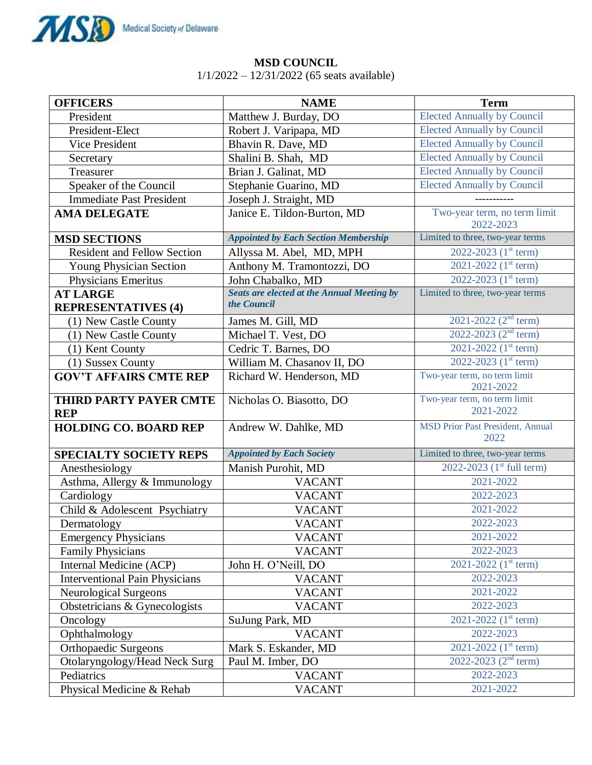

## **MSD COUNCIL**

1/1/2022 – 12/31/2022 (65 seats available)

| <b>OFFICERS</b>                               | <b>NAME</b>                                                      | <b>Term</b>                                     |
|-----------------------------------------------|------------------------------------------------------------------|-------------------------------------------------|
| President                                     | Matthew J. Burday, DO                                            | <b>Elected Annually by Council</b>              |
| President-Elect                               | Robert J. Varipapa, MD                                           | <b>Elected Annually by Council</b>              |
| <b>Vice President</b>                         | Bhavin R. Dave, MD                                               | <b>Elected Annually by Council</b>              |
| Secretary                                     | Shalini B. Shah, MD                                              | <b>Elected Annually by Council</b>              |
| Treasurer                                     | Brian J. Galinat, MD                                             | <b>Elected Annually by Council</b>              |
| Speaker of the Council                        | Stephanie Guarino, MD                                            | <b>Elected Annually by Council</b>              |
| <b>Immediate Past President</b>               | Joseph J. Straight, MD                                           |                                                 |
| <b>AMA DELEGATE</b>                           | Janice E. Tildon-Burton, MD                                      | Two-year term, no term limit<br>2022-2023       |
| <b>MSD SECTIONS</b>                           | <b>Appointed by Each Section Membership</b>                      | Limited to three, two-year terms                |
| <b>Resident and Fellow Section</b>            | Allyssa M. Abel, MD, MPH                                         | 2022-2023 $(1st term)$                          |
| Young Physician Section                       | Anthony M. Tramontozzi, DO                                       | 2021-2022 (1 <sup>st</sup> term)                |
| Physicians Emeritus                           | John Chabalko, MD                                                | 2022-2023 $(1st term)$                          |
| <b>AT LARGE</b><br><b>REPRESENTATIVES (4)</b> | <b>Seats are elected at the Annual Meeting by</b><br>the Council | Limited to three, two-year terms                |
| (1) New Castle County                         | James M. Gill, MD                                                | 2021-2022 ( $2nd$ term)                         |
| (1) New Castle County                         | Michael T. Vest, DO                                              | 2022-2023 ( $2^{nd}$ term)                      |
| (1) Kent County                               | Cedric T. Barnes, DO                                             | 2021-2022 $(1^{st}$ term)                       |
| (1) Sussex County                             | William M. Chasanov II, DO                                       | 2022-2023 (1 <sup>st</sup> term)                |
| <b>GOV'T AFFAIRS CMTE REP</b>                 | Richard W. Henderson, MD                                         | Two-year term, no term limit<br>2021-2022       |
| <b>THIRD PARTY PAYER CMTE</b><br><b>REP</b>   | Nicholas O. Biasotto, DO                                         | Two-year term, no term limit<br>2021-2022       |
| <b>HOLDING CO. BOARD REP</b>                  | Andrew W. Dahlke, MD                                             | <b>MSD Prior Past President, Annual</b><br>2022 |
| <b>SPECIALTY SOCIETY REPS</b>                 | <b>Appointed by Each Society</b>                                 | Limited to three, two-year terms                |
| Anesthesiology                                | Manish Purohit, MD                                               | 2022-2023 (1 <sup>st</sup> full term)           |
| Asthma, Allergy & Immunology                  | <b>VACANT</b>                                                    | 2021-2022                                       |
| Cardiology                                    | <b>VACANT</b>                                                    | 2022-2023                                       |
| Child & Adolescent Psychiatry                 | <b>VACANT</b>                                                    | 2021-2022                                       |
| Dermatology                                   | <b>VACANT</b>                                                    | 2022-2023                                       |
| <b>Emergency Physicians</b>                   | <b>VACANT</b>                                                    | 2021-2022                                       |
| <b>Family Physicians</b>                      | <b>VACANT</b>                                                    | 2022-2023                                       |
| Internal Medicine (ACP)                       | John H. O'Neill, DO                                              | 2021-2022 $(1st term)$                          |
| <b>Interventional Pain Physicians</b>         | <b>VACANT</b>                                                    | 2022-2023                                       |
| <b>Neurological Surgeons</b>                  | <b>VACANT</b>                                                    | 2021-2022                                       |
| Obstetricians & Gynecologists                 | <b>VACANT</b>                                                    | 2022-2023                                       |
| Oncology                                      | SuJung Park, MD                                                  | 2021-2022 $(1^{st}$ term)                       |
| Ophthalmology                                 | <b>VACANT</b>                                                    | 2022-2023                                       |
| <b>Orthopaedic Surgeons</b>                   | Mark S. Eskander, MD                                             | 2021-2022 $(1^{st}$ term)                       |
| Otolaryngology/Head Neck Surg                 | Paul M. Imber, DO                                                | 2022-2023 (2 <sup>nd</sup> term)                |
| Pediatrics                                    | <b>VACANT</b>                                                    | 2022-2023                                       |
| Physical Medicine & Rehab                     | <b>VACANT</b>                                                    | 2021-2022                                       |